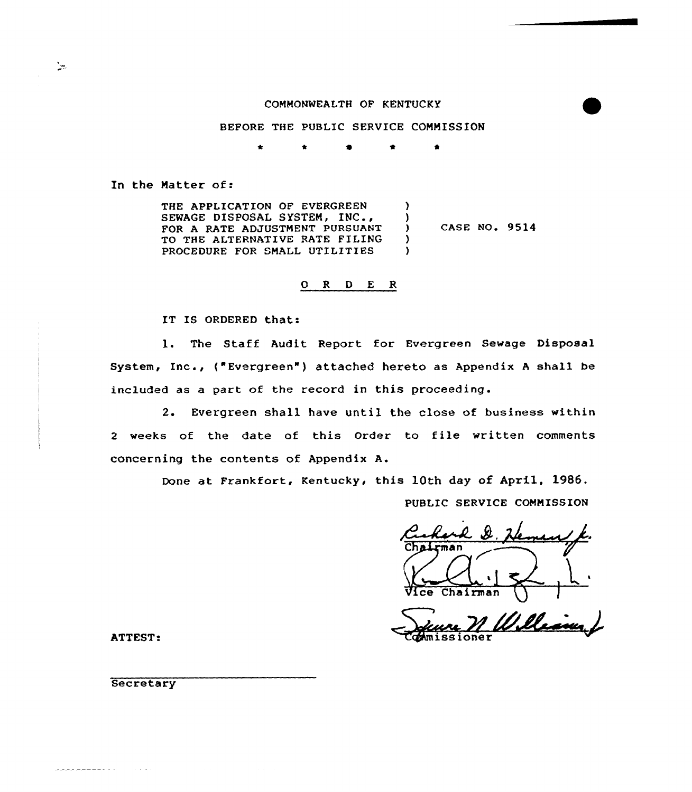### COMMONWEALTH OF KENTUCKY

# BEFORE THE PUBLIC SERVICE COMMISSION

4 4' 4

In the Natter of:

ंट

THE APPLICATION OF EVERGREEN SEWAGE DISPOSAL SYSTEM, INC., FOR A RATE ADJUSTMENT PURSUANT TO THE ALTERNATIVE RATE FILING PROCEDURE FOR SMALL UTILITIES )  $\cdot$ CASE NO. 9514 ) )

## $\begin{array}{ccccccccc}\nO & R & D & E & R\n\end{array}$

IT IS ORDERED that:

1. The Staff Audit Report for Evergreen Sewage Disposal System, Inc., ("Evergreen" ) attached hereto as Appendix <sup>A</sup> shall be included as a part of the record in this proceeding.

2. Evergreen shall have until the close of business within <sup>2</sup> weeks of the date of this Order to file written comments concerning the contents of Appendix A.

Done at Frankfort, Kentucky< this 10th day of April, 1986.

PUBLIC SERVICE COMMISSION

nairman Uice Chairman

William J **Mmissioner** 

ATTEST:

**Secretary** 

 $\sim 100$  km s  $^{-1}$ 

22222-222-233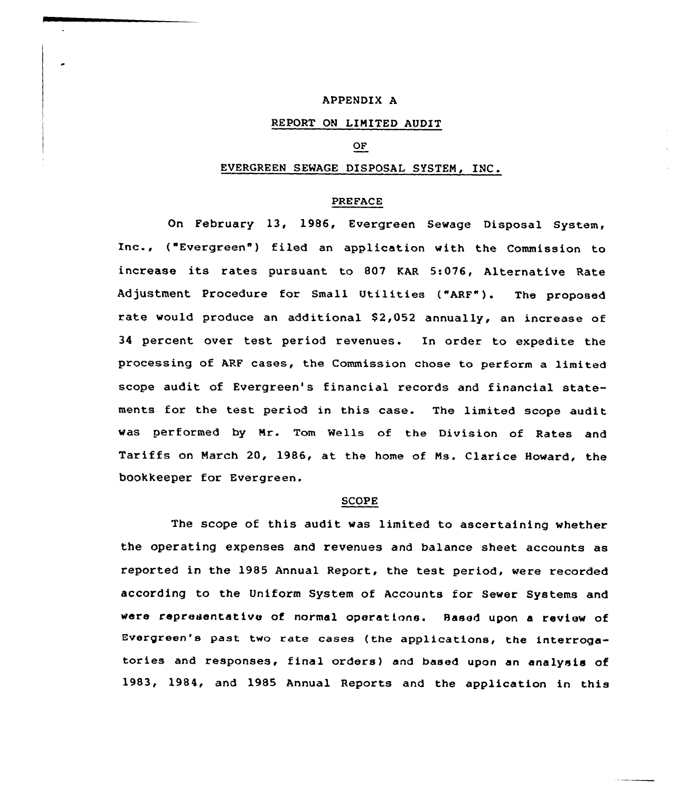### APPENDIX A

## REPORT ON LIMITED AUDIT

## OF

# EVERGREEN SEWAGE DISPOSAL SYSTEM, INC.

# PREFACE

On February 13, 1986, Evergreen Sewage Disposal System, Inc., ("Evergreen") filed an application with the Commission to increase its rates pursuant to 807 KAR 5:076, Alternative Rate Adjustment Procedure for Small Utilities ("ARF"). The proposed rate would produce an additional \$2,052 annually, an increase of 34 percent over test period revenues. In order to expedite the processing of ARF cases, the Commission chose to perform a limited scope audit of Evergreen's financial records and financial statements for the test period in this case. The limited scope audit was performed by Nr. Tom Wells of the Division of Rates and Tariffs on March 20, 1986, at the home of Ms. Clarice Howard, the bookkeeper for Evergreen.

#### SCOPE

The scope of this audit was limited to ascertaining whether the operating expenses and revenues and balance sheet accounts as reported in the 1985 Annual Repart, the test period, were recorded according to the Uniform System of Accounts for Sewer Systems and were representative of normal operations. Based upon <sup>a</sup> xeview of Evergreen's past two rate cases (the applications, the interrogatories and responses, final orders) and based upon an analysis of 1983, 1984, and 1985 Annual Reports and the application in this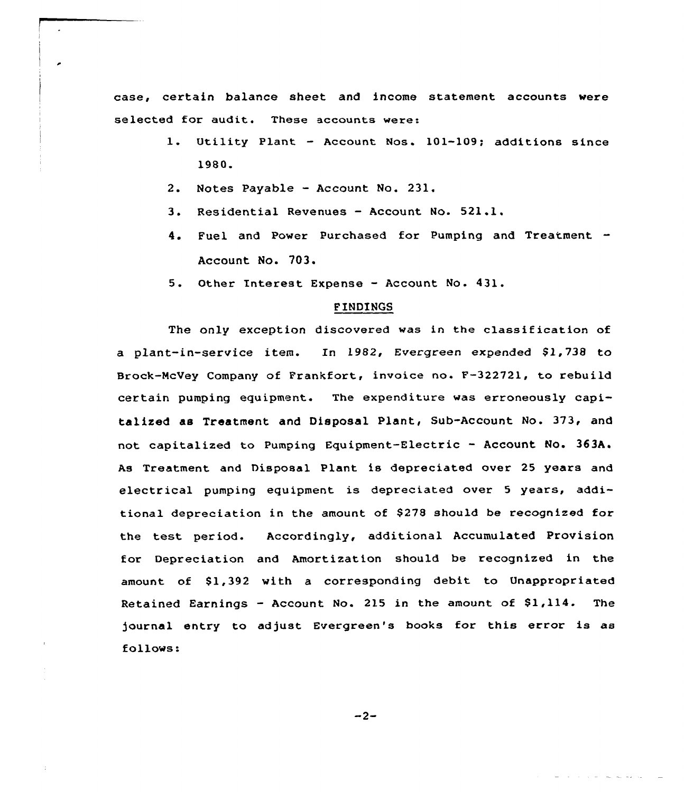case, certain balance sheet and income statement accounts were selected for audit. These accounts were:

- 1. Utility Plant Account Nos. 101-109; additions since 1980.
- 2. Notes Payable Account No. 231.
- 3. Residential Revenues Account No. 521.1.
- 4. Fuel and Power Purchased for Pumping and Treatment Account No. 703.
- 5. Other Interest Expense Account No. 431.

### FINDINGS

The only exception discovered was in the classification of a plant-in-service item. In 1982, Evergreen expended \$1,738 to Brock-McVey Company of Frankfort, invoice no. F-322721, to rebuild certain pumping equipment. The expenditure was erroneously capitalized as Treatment and Disposal Plant, Sub-Account No. 373, and not capitalized to Pumping Equipment-Electric - Account No. 363A. As Treatment and Disposal Plant is depreciated over 25 years and electrical pumping equipment is depreciated over <sup>5</sup> years, additional depreciation in the amount of \$ 27S should be recognized for the test period. Accordingly, additional Accumulated Provision for Depreciation and Amortization should be recognized in the amount of 81,392 with a corresponding debit. to Unappropriated Retained Earnings - Account No. 215 in the amount of  $$1,114$ . The )ournal entry to adjust Evergreen's books for this error is as follows: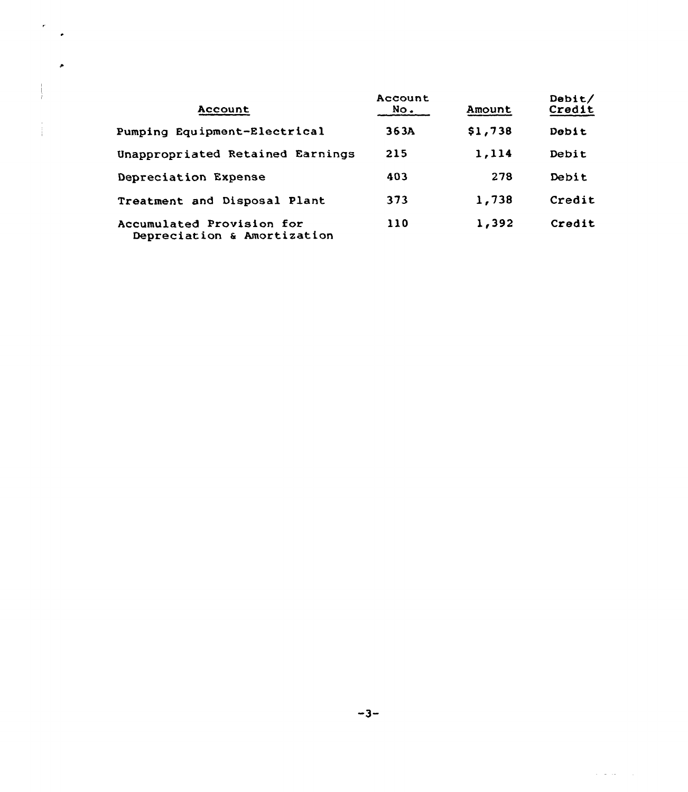| Account                                                  | Account<br>No. | Amount  | Debit/<br>Credit |
|----------------------------------------------------------|----------------|---------|------------------|
| Pumping Equipment-Electrical                             | 363A           | \$1,738 | Debit            |
| Unappropriated Retained Earnings                         | 215            | 1,114   | Debit            |
| Depreciation Expense                                     | 403            | 278     | Debit            |
| Treatment and Disposal Plant                             | 373            | 1,738   | Credit           |
| Accumulated Provision for<br>Depreciation & Amortization | 110            | 1,392   | Credit           |

ţ

 $\frac{1}{4}$ 

 $\alpha$  ,  $\alpha$  , and  $\alpha$  ,  $\alpha$